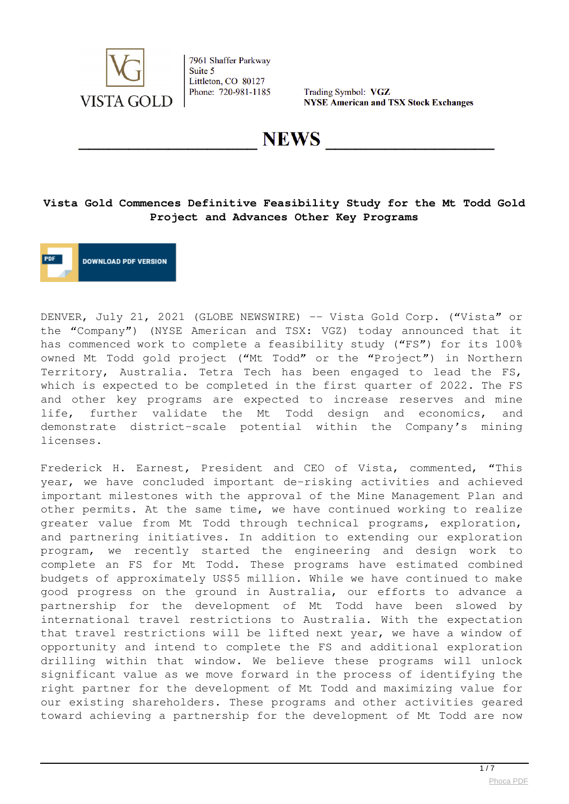

Trading Symbol: VGZ **NYSE American and TSX Stock Exchanges** 

**NEWS** 

# **Vista Gold Commences Definitive Feasibility Study for the Mt Todd Gold Project and Advances Other Key Programs**

**DOWNLOAD PDF VERSION** 

DENVER, July 21, 2021 (GLOBE NEWSWIRE) -- Vista Gold Corp. ("Vista" or the "Company") (NYSE American and TSX: VGZ) today announced that it has commenced work to complete a feasibility study ("FS") for its 100% owned Mt Todd gold project ("Mt Todd" or the "Project") in Northern Territory, Australia. Tetra Tech has been engaged to lead the FS, which is expected to be completed in the first quarter of 2022. The FS and other key programs are expected to increase reserves and mine life, further validate the Mt Todd design and economics, and demonstrate district-scale potential within the Company's mining licenses.

Frederick H. Earnest, President and CEO of Vista, commented, "This year, we have concluded important de-risking activities and achieved important milestones with the approval of the Mine Management Plan and other permits. At the same time, we have continued working to realize greater value from Mt Todd through technical programs, exploration, and partnering initiatives. In addition to extending our exploration program, we recently started the engineering and design work to complete an FS for Mt Todd. These programs have estimated combined budgets of approximately US\$5 million. While we have continued to make good progress on the ground in Australia, our efforts to advance a partnership for the development of Mt Todd have been slowed by international travel restrictions to Australia. With the expectation that travel restrictions will be lifted next year, we have a window of opportunity and intend to complete the FS and additional exploration drilling within that window. We believe these programs will unlock significant value as we move forward in the process of identifying the right partner for the development of Mt Todd and maximizing value for our existing shareholders. These programs and other activities geared toward achieving a partnership for the development of Mt Todd are now

 $\frac{1}{7}$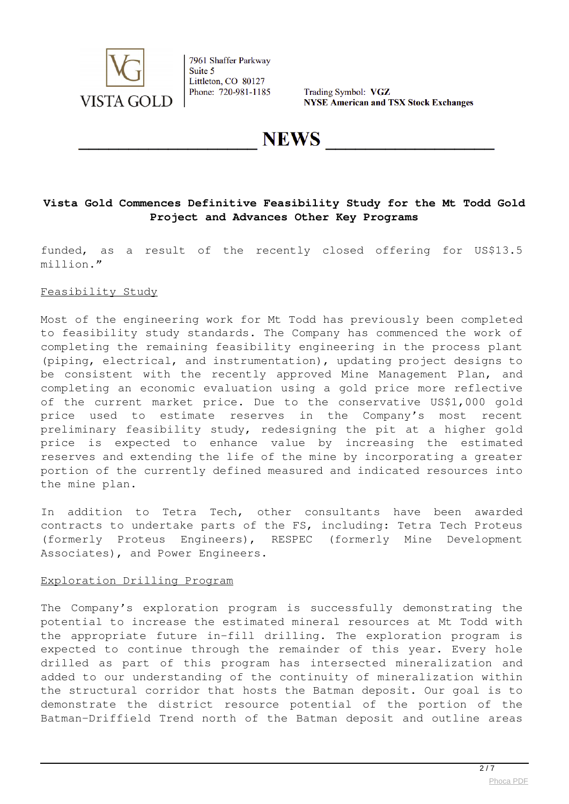

Trading Symbol: VGZ **NYSE American and TSX Stock Exchanges** 

**NEWS** 

# **Vista Gold Commences Definitive Feasibility Study for the Mt Todd Gold Project and Advances Other Key Programs**

funded, as a result of the recently closed offering for US\$13.5 million."

#### Feasibility Study

Most of the engineering work for Mt Todd has previously been completed to feasibility study standards. The Company has commenced the work of completing the remaining feasibility engineering in the process plant (piping, electrical, and instrumentation), updating project designs to be consistent with the recently approved Mine Management Plan, and completing an economic evaluation using a gold price more reflective of the current market price. Due to the conservative US\$1,000 gold price used to estimate reserves in the Company's most recent preliminary feasibility study, redesigning the pit at a higher gold price is expected to enhance value by increasing the estimated reserves and extending the life of the mine by incorporating a greater portion of the currently defined measured and indicated resources into the mine plan.

In addition to Tetra Tech, other consultants have been awarded contracts to undertake parts of the FS, including: Tetra Tech Proteus (formerly Proteus Engineers), RESPEC (formerly Mine Development Associates), and Power Engineers.

#### Exploration Drilling Program

The Company's exploration program is successfully demonstrating the potential to increase the estimated mineral resources at Mt Todd with the appropriate future in-fill drilling. The exploration program is expected to continue through the remainder of this year. Every hole drilled as part of this program has intersected mineralization and added to our understanding of the continuity of mineralization within the structural corridor that hosts the Batman deposit. Our goal is to demonstrate the district resource potential of the portion of the Batman-Driffield Trend north of the Batman deposit and outline areas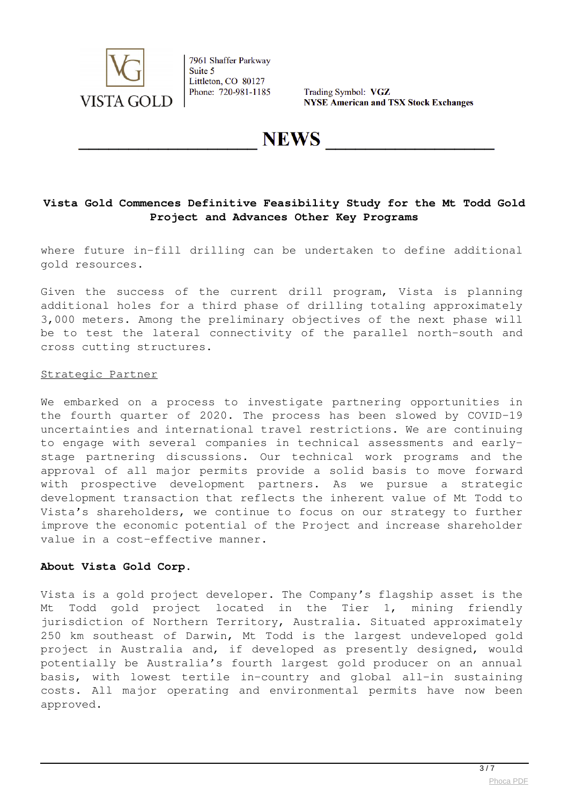

Trading Symbol: VGZ **NYSE American and TSX Stock Exchanges** 

**NEWS** 

#### **Vista Gold Commences Definitive Feasibility Study for the Mt Todd Gold Project and Advances Other Key Programs**

where future in-fill drilling can be undertaken to define additional gold resources.

Given the success of the current drill program, Vista is planning additional holes for a third phase of drilling totaling approximately 3,000 meters. Among the preliminary objectives of the next phase will be to test the lateral connectivity of the parallel north-south and cross cutting structures.

#### Strategic Partner

We embarked on a process to investigate partnering opportunities in the fourth quarter of 2020. The process has been slowed by COVID-19 uncertainties and international travel restrictions. We are continuing to engage with several companies in technical assessments and earlystage partnering discussions. Our technical work programs and the approval of all major permits provide a solid basis to move forward with prospective development partners. As we pursue a strategic development transaction that reflects the inherent value of Mt Todd to Vista's shareholders, we continue to focus on our strategy to further improve the economic potential of the Project and increase shareholder value in a cost-effective manner.

#### **About Vista Gold Corp.**

Vista is a gold project developer. The Company's flagship asset is the Mt Todd gold project located in the Tier 1, mining friendly jurisdiction of Northern Territory, Australia. Situated approximately 250 km southeast of Darwin, Mt Todd is the largest undeveloped gold project in Australia and, if developed as presently designed, would potentially be Australia's fourth largest gold producer on an annual basis, with lowest tertile in-country and global all-in sustaining costs. All major operating and environmental permits have now been approved.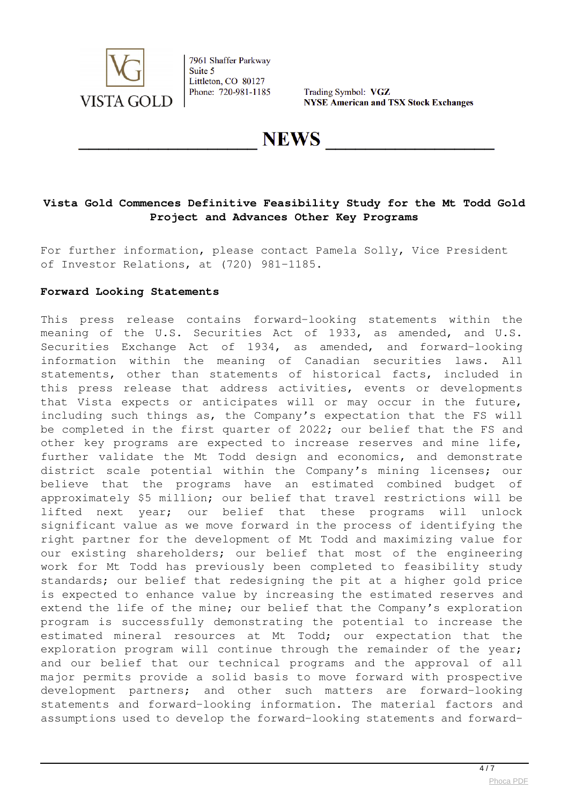

Trading Symbol: VGZ **NYSE American and TSX Stock Exchanges** 

**NEWS** 

# **Vista Gold Commences Definitive Feasibility Study for the Mt Todd Gold Project and Advances Other Key Programs**

For further information, please contact Pamela Solly, Vice President of Investor Relations, at (720) 981-1185.

#### **Forward Looking Statements**

This press release contains forward-looking statements within the meaning of the U.S. Securities Act of 1933, as amended, and U.S. Securities Exchange Act of 1934, as amended, and forward-looking information within the meaning of Canadian securities laws. All statements, other than statements of historical facts, included in this press release that address activities, events or developments that Vista expects or anticipates will or may occur in the future, including such things as, the Company's expectation that the FS will be completed in the first quarter of 2022; our belief that the FS and other key programs are expected to increase reserves and mine life, further validate the Mt Todd design and economics, and demonstrate district scale potential within the Company's mining licenses; our believe that the programs have an estimated combined budget of approximately \$5 million; our belief that travel restrictions will be lifted next year; our belief that these programs will unlock significant value as we move forward in the process of identifying the right partner for the development of Mt Todd and maximizing value for our existing shareholders; our belief that most of the engineering work for Mt Todd has previously been completed to feasibility study standards; our belief that redesigning the pit at a higher gold price is expected to enhance value by increasing the estimated reserves and extend the life of the mine; our belief that the Company's exploration program is successfully demonstrating the potential to increase the estimated mineral resources at Mt Todd; our expectation that the exploration program will continue through the remainder of the year; and our belief that our technical programs and the approval of all major permits provide a solid basis to move forward with prospective development partners; and other such matters are forward-looking statements and forward-looking information. The material factors and assumptions used to develop the forward-looking statements and forward-

 $\overline{4/7}$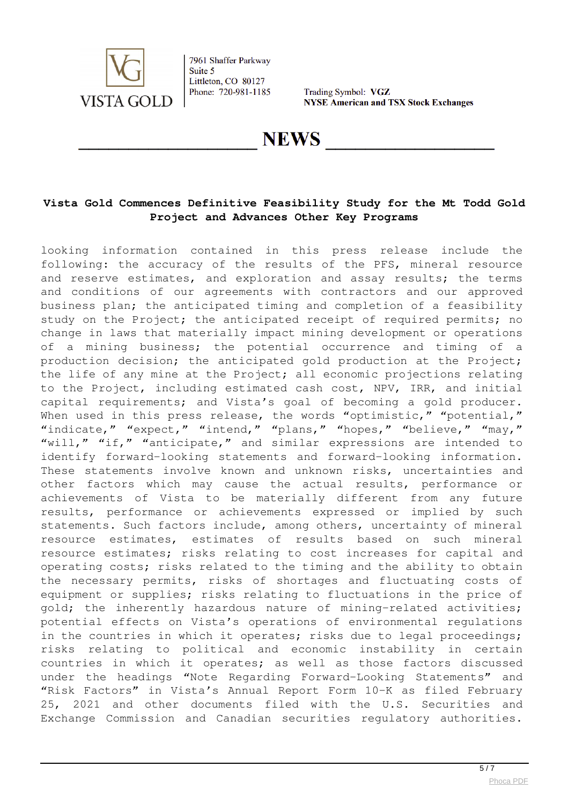

Trading Symbol: VGZ **NYSE American and TSX Stock Exchanges** 

**NEWS** 

# **Vista Gold Commences Definitive Feasibility Study for the Mt Todd Gold Project and Advances Other Key Programs**

looking information contained in this press release include the following: the accuracy of the results of the PFS, mineral resource and reserve estimates, and exploration and assay results; the terms and conditions of our agreements with contractors and our approved business plan; the anticipated timing and completion of a feasibility study on the Project; the anticipated receipt of required permits; no change in laws that materially impact mining development or operations of a mining business; the potential occurrence and timing of a production decision; the anticipated gold production at the Project; the life of any mine at the Project; all economic projections relating to the Project, including estimated cash cost, NPV, IRR, and initial capital requirements; and Vista's goal of becoming a gold producer. When used in this press release, the words "optimistic," "potential," "indicate," "expect," "intend," "plans," "hopes," "believe," "may," "will," "if," "anticipate," and similar expressions are intended to identify forward-looking statements and forward-looking information. These statements involve known and unknown risks, uncertainties and other factors which may cause the actual results, performance or achievements of Vista to be materially different from any future results, performance or achievements expressed or implied by such statements. Such factors include, among others, uncertainty of mineral resource estimates, estimates of results based on such mineral resource estimates; risks relating to cost increases for capital and operating costs; risks related to the timing and the ability to obtain the necessary permits, risks of shortages and fluctuating costs of equipment or supplies; risks relating to fluctuations in the price of gold; the inherently hazardous nature of mining-related activities; potential effects on Vista's operations of environmental regulations in the countries in which it operates; risks due to legal proceedings; risks relating to political and economic instability in certain countries in which it operates; as well as those factors discussed under the headings "Note Regarding Forward-Looking Statements" and "Risk Factors" in Vista's Annual Report Form 10-K as filed February 25, 2021 and other documents filed with the U.S. Securities and Exchange Commission and Canadian securities regulatory authorities.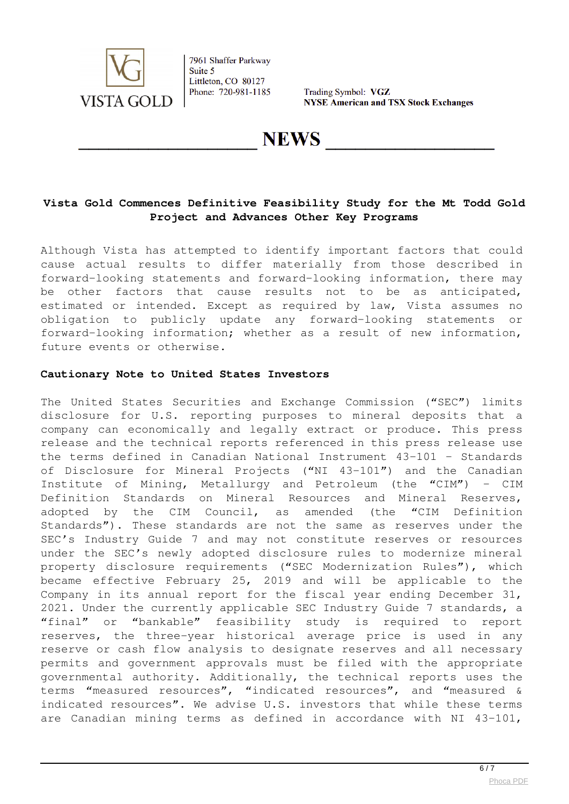

Trading Symbol: VGZ **NYSE American and TSX Stock Exchanges** 

**NEWS** 

# **Vista Gold Commences Definitive Feasibility Study for the Mt Todd Gold Project and Advances Other Key Programs**

Although Vista has attempted to identify important factors that could cause actual results to differ materially from those described in forward-looking statements and forward-looking information, there may be other factors that cause results not to be as anticipated, estimated or intended. Except as required by law, Vista assumes no obligation to publicly update any forward-looking statements or forward-looking information; whether as a result of new information, future events or otherwise.

#### **Cautionary Note to United States Investors**

The United States Securities and Exchange Commission ("SEC") limits disclosure for U.S. reporting purposes to mineral deposits that a company can economically and legally extract or produce. This press release and the technical reports referenced in this press release use the terms defined in Canadian National Instrument 43-101 – Standards of Disclosure for Mineral Projects ("NI 43-101") and the Canadian Institute of Mining, Metallurgy and Petroleum (the "CIM") – CIM Definition Standards on Mineral Resources and Mineral Reserves, adopted by the CIM Council, as amended (the "CIM Definition Standards"). These standards are not the same as reserves under the SEC's Industry Guide 7 and may not constitute reserves or resources under the SEC's newly adopted disclosure rules to modernize mineral property disclosure requirements ("SEC Modernization Rules"), which became effective February 25, 2019 and will be applicable to the Company in its annual report for the fiscal year ending December 31, 2021. Under the currently applicable SEC Industry Guide 7 standards, a "final" or "bankable" feasibility study is required to report reserves, the three-year historical average price is used in any reserve or cash flow analysis to designate reserves and all necessary permits and government approvals must be filed with the appropriate governmental authority. Additionally, the technical reports uses the terms "measured resources", "indicated resources", and "measured & indicated resources". We advise U.S. investors that while these terms are Canadian mining terms as defined in accordance with NI 43-101,

 $6/7$